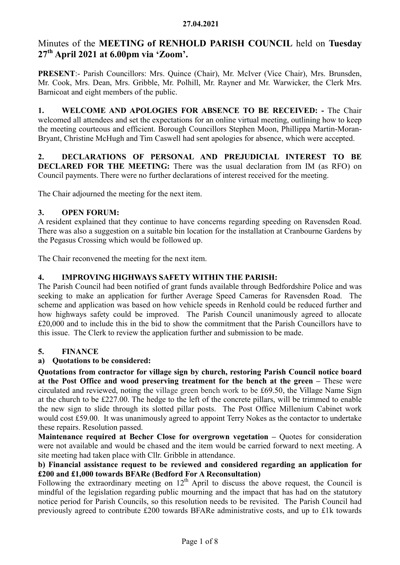# Minutes of the MEETING of RENHOLD PARISH COUNCIL held on Tuesday  $27<sup>th</sup>$  April 2021 at 6.00pm via 'Zoom'.

PRESENT:- Parish Councillors: Mrs. Quince (Chair), Mr. McIver (Vice Chair), Mrs. Brunsden, Mr. Cook, Mrs. Dean, Mrs. Gribble, Mr. Polhill, Mr. Rayner and Mr. Warwicker, the Clerk Mrs. Barnicoat and eight members of the public.

1. WELCOME AND APOLOGIES FOR ABSENCE TO BE RECEIVED: - The Chair welcomed all attendees and set the expectations for an online virtual meeting, outlining how to keep the meeting courteous and efficient. Borough Councillors Stephen Moon, Phillippa Martin-Moran-Bryant, Christine McHugh and Tim Caswell had sent apologies for absence, which were accepted.

2. DECLARATIONS OF PERSONAL AND PREJUDICIAL INTEREST TO BE DECLARED FOR THE MEETING: There was the usual declaration from IM (as RFO) on Council payments. There were no further declarations of interest received for the meeting.

The Chair adjourned the meeting for the next item.

## 3. OPEN FORUM:

A resident explained that they continue to have concerns regarding speeding on Ravensden Road. There was also a suggestion on a suitable bin location for the installation at Cranbourne Gardens by the Pegasus Crossing which would be followed up.

The Chair reconvened the meeting for the next item.

## 4. IMPROVING HIGHWAYS SAFETY WITHIN THE PARISH:

The Parish Council had been notified of grant funds available through Bedfordshire Police and was seeking to make an application for further Average Speed Cameras for Ravensden Road. The scheme and application was based on how vehicle speeds in Renhold could be reduced further and how highways safety could be improved. The Parish Council unanimously agreed to allocate £20,000 and to include this in the bid to show the commitment that the Parish Councillors have to this issue. The Clerk to review the application further and submission to be made.

## 5. FINANCE

#### a) Quotations to be considered:

Quotations from contractor for village sign by church, restoring Parish Council notice board at the Post Office and wood preserving treatment for the bench at the green – These were circulated and reviewed, noting the village green bench work to be £69.50, the Village Name Sign at the church to be £227.00. The hedge to the left of the concrete pillars, will be trimmed to enable the new sign to slide through its slotted pillar posts. The Post Office Millenium Cabinet work would cost £59.00. It was unanimously agreed to appoint Terry Nokes as the contactor to undertake these repairs. Resolution passed.

Maintenance required at Becher Close for overgrown vegetation - Quotes for consideration were not available and would be chased and the item would be carried forward to next meeting. A site meeting had taken place with Cllr. Gribble in attendance.

## b) Financial assistance request to be reviewed and considered regarding an application for £200 and £1,000 towards BFARe (Bedford For A Reconsultation)

Following the extraordinary meeting on  $12<sup>th</sup>$  April to discuss the above request, the Council is mindful of the legislation regarding public mourning and the impact that has had on the statutory notice period for Parish Councils, so this resolution needs to be revisited. The Parish Council had previously agreed to contribute £200 towards BFARe administrative costs, and up to £1k towards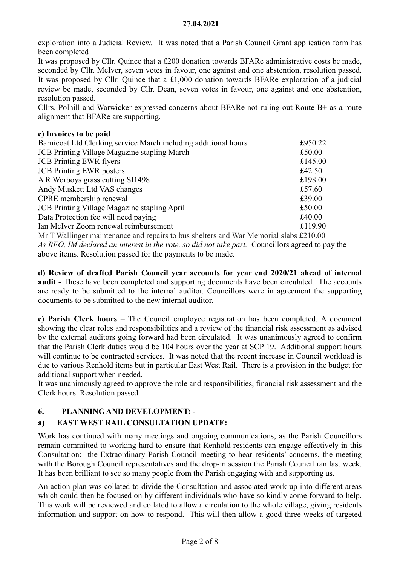exploration into a Judicial Review. It was noted that a Parish Council Grant application form has been completed

It was proposed by Cllr. Quince that a £200 donation towards BFARe administrative costs be made, seconded by Cllr. McIver, seven votes in favour, one against and one abstention, resolution passed. It was proposed by Cllr. Quince that a £1,000 donation towards BFARe exploration of a judicial review be made, seconded by Cllr. Dean, seven votes in favour, one against and one abstention, resolution passed.

Cllrs. Polhill and Warwicker expressed concerns about BFARe not ruling out Route  $B<sup>+</sup>$  as a route alignment that BFARe are supporting.

## c) Invoices to be paid

| Barnicoat Ltd Clerking service March including additional hours                       | £950.22 |
|---------------------------------------------------------------------------------------|---------|
| <b>JCB</b> Printing Village Magazine stapling March                                   | £50.00  |
| <b>JCB</b> Printing EWR flyers                                                        | £145.00 |
| <b>JCB</b> Printing EWR posters                                                       | £42.50  |
| A R Worboys grass cutting SI1498                                                      | £198.00 |
| Andy Muskett Ltd VAS changes                                                          | £57.60  |
| CPRE membership renewal                                                               | £39.00  |
| <b>JCB</b> Printing Village Magazine stapling April                                   | £50.00  |
| Data Protection fee will need paying                                                  | £40.00  |
| Ian McIver Zoom renewal reimbursement                                                 | £119.90 |
| Mr T Wallinger maintenance and repairs to bus shelters and War Memorial slabs £210.00 |         |

As RFO, IM declared an interest in the vote, so did not take part. Councillors agreed to pay the above items. Resolution passed for the payments to be made.

d) Review of drafted Parish Council year accounts for year end 2020/21 ahead of internal audit - These have been completed and supporting documents have been circulated. The accounts are ready to be submitted to the internal auditor. Councillors were in agreement the supporting documents to be submitted to the new internal auditor.

e) Parish Clerk hours – The Council employee registration has been completed. A document showing the clear roles and responsibilities and a review of the financial risk assessment as advised by the external auditors going forward had been circulated. It was unanimously agreed to confirm that the Parish Clerk duties would be 104 hours over the year at SCP 19. Additional support hours will continue to be contracted services. It was noted that the recent increase in Council workload is due to various Renhold items but in particular East West Rail. There is a provision in the budget for additional support when needed.

It was unanimously agreed to approve the role and responsibilities, financial risk assessment and the Clerk hours. Resolution passed.

## 6. PLANNING AND DEVELOPMENT: -

## a) EAST WEST RAIL CONSULTATION UPDATE:

Work has continued with many meetings and ongoing communications, as the Parish Councillors remain committed to working hard to ensure that Renhold residents can engage effectively in this Consultation: the Extraordinary Parish Council meeting to hear residents' concerns, the meeting with the Borough Council representatives and the drop-in session the Parish Council ran last week. It has been brilliant to see so many people from the Parish engaging with and supporting us.

An action plan was collated to divide the Consultation and associated work up into different areas which could then be focused on by different individuals who have so kindly come forward to help. This work will be reviewed and collated to allow a circulation to the whole village, giving residents information and support on how to respond. This will then allow a good three weeks of targeted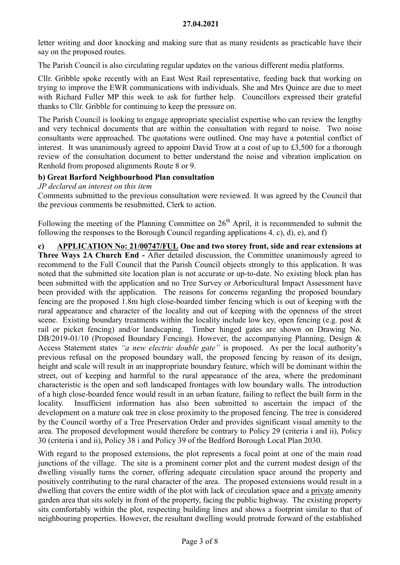letter writing and door knocking and making sure that as many residents as practicable have their say on the proposed routes.

The Parish Council is also circulating regular updates on the various different media platforms.

Cllr. Gribble spoke recently with an East West Rail representative, feeding back that working on trying to improve the EWR communications with individuals. She and Mrs Quince are due to meet with Richard Fuller MP this week to ask for further help. Councillors expressed their grateful thanks to Cllr. Gribble for continuing to keep the pressure on.

The Parish Council is looking to engage appropriate specialist expertise who can review the lengthy and very technical documents that are within the consultation with regard to noise. Two noise consultants were approached. The quotations were outlined. One may have a potential conflict of interest. It was unanimously agreed to appoint David Trow at a cost of up to £3,500 for a thorough review of the consultation document to better understand the noise and vibration implication on Renhold from proposed alignments Route 8 or 9.

## b) Great Barford Neighbourhood Plan consultation

JP declared an interest on this item

Comments submitted to the previous consultation were reviewed. It was agreed by the Council that the previous comments be resubmitted, Clerk to action.

Following the meeting of the Planning Committee on  $26<sup>th</sup>$  April, it is recommended to submit the following the responses to the Borough Council regarding applications 4. c), d), e), and f)

c) APPLICATION No: 21/00747/FUL One and two storey front, side and rear extensions at Three Ways 2A Church End - After detailed discussion, the Committee unanimously agreed to recommend to the Full Council that the Parish Council objects strongly to this application. It was noted that the submitted site location plan is not accurate or up-to-date. No existing block plan has been submitted with the application and no Tree Survey or Arboricultural Impact Assessment have been provided with the application. The reasons for concerns regarding the proposed boundary fencing are the proposed 1.8m high close-boarded timber fencing which is out of keeping with the rural appearance and character of the locality and out of keeping with the openness of the street scene. Existing boundary treatments within the locality include low key, open fencing (e.g. post  $\&$ rail or picket fencing) and/or landscaping. Timber hinged gates are shown on Drawing No. DB/2019-01/10 (Proposed Boundary Fencing). However, the accompanying Planning, Design & Access Statement states "a new electric double gate" is proposed. As per the local authority's previous refusal on the proposed boundary wall, the proposed fencing by reason of its design, height and scale will result in an inappropriate boundary feature, which will be dominant within the street, out of keeping and harmful to the rural appearance of the area, where the predominant characteristic is the open and soft landscaped frontages with low boundary walls. The introduction of a high close-boarded fence would result in an urban feature, failing to reflect the built form in the locality. Insufficient information has also been submitted to ascertain the impact of the development on a mature oak tree in close proximity to the proposed fencing. The tree is considered by the Council worthy of a Tree Preservation Order and provides significant visual amenity to the area. The proposed development would therefore be contrary to Policy 29 (criteria i and ii), Policy 30 (criteria i and ii), Policy 38 i and Policy 39 of the Bedford Borough Local Plan 2030.

With regard to the proposed extensions, the plot represents a focal point at one of the main road junctions of the village. The site is a prominent corner plot and the current modest design of the dwelling visually turns the corner, offering adequate circulation space around the property and positively contributing to the rural character of the area. The proposed extensions would result in a dwelling that covers the entire width of the plot with lack of circulation space and a private amenity garden area that sits solely in front of the property, facing the public highway. The existing property sits comfortably within the plot, respecting building lines and shows a footprint similar to that of neighbouring properties. However, the resultant dwelling would protrude forward of the established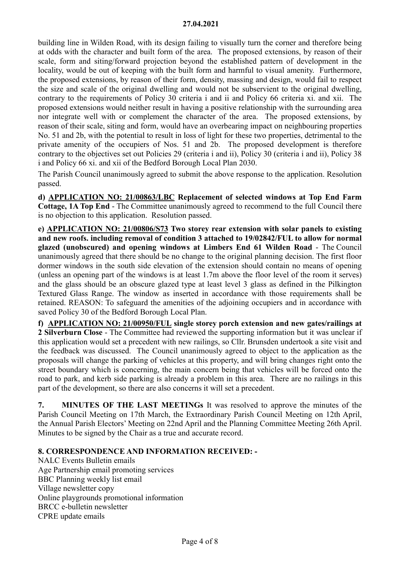building line in Wilden Road, with its design failing to visually turn the corner and therefore being at odds with the character and built form of the area. The proposed extensions, by reason of their scale, form and siting/forward projection beyond the established pattern of development in the locality, would be out of keeping with the built form and harmful to visual amenity. Furthermore, the proposed extensions, by reason of their form, density, massing and design, would fail to respect the size and scale of the original dwelling and would not be subservient to the original dwelling, contrary to the requirements of Policy 30 criteria i and ii and Policy 66 criteria xi. and xii. The proposed extensions would neither result in having a positive relationship with the surrounding area nor integrate well with or complement the character of the area. The proposed extensions, by reason of their scale, siting and form, would have an overbearing impact on neighbouring properties No. 51 and 2b, with the potential to result in loss of light for these two properties, detrimental to the private amenity of the occupiers of Nos. 51 and 2b. The proposed development is therefore contrary to the objectives set out Policies 29 (criteria i and ii), Policy 30 (criteria i and ii), Policy 38 i and Policy 66 xi. and xii of the Bedford Borough Local Plan 2030.

The Parish Council unanimously agreed to submit the above response to the application. Resolution passed.

d) APPLICATION NO: 21/00863/LBC Replacement of selected windows at Top End Farm Cottage, 1A Top End - The Committee unanimously agreed to recommend to the full Council there is no objection to this application. Resolution passed.

e) APPLICATION NO: 21/00806/S73 Two storey rear extension with solar panels to existing and new roofs. including removal of condition 3 attached to 19/02842/FUL to allow for normal glazed (unobscured) and opening windows at Limbers End 61 Wilden Road - The Council unanimously agreed that there should be no change to the original planning decision. The first floor dormer windows in the south side elevation of the extension should contain no means of opening (unless an opening part of the windows is at least 1.7m above the floor level of the room it serves) and the glass should be an obscure glazed type at least level 3 glass as defined in the Pilkington Textured Glass Range. The window as inserted in accordance with those requirements shall be retained. REASON: To safeguard the amenities of the adjoining occupiers and in accordance with saved Policy 30 of the Bedford Borough Local Plan.

f) APPLICATION NO: 21/00950/FUL single storey porch extension and new gates/railings at 2 Silverburn Close - The Committee had reviewed the supporting information but it was unclear if this application would set a precedent with new railings, so Cllr. Brunsden undertook a site visit and the feedback was discussed. The Council unanimously agreed to object to the application as the proposals will change the parking of vehicles at this property, and will bring changes right onto the street boundary which is concerning, the main concern being that vehicles will be forced onto the road to park, and kerb side parking is already a problem in this area. There are no railings in this part of the development, so there are also concerns it will set a precedent.

7. MINUTES OF THE LAST MEETINGs It was resolved to approve the minutes of the Parish Council Meeting on 17th March, the Extraordinary Parish Council Meeting on 12th April, the Annual Parish Electors' Meeting on 22nd April and the Planning Committee Meeting 26th April. Minutes to be signed by the Chair as a true and accurate record.

## 8. CORRESPONDENCE AND INFORMATION RECEIVED: -

NALC Events Bulletin emails Age Partnership email promoting services BBC Planning weekly list email Village newsletter copy Online playgrounds promotional information BRCC e-bulletin newsletter CPRE update emails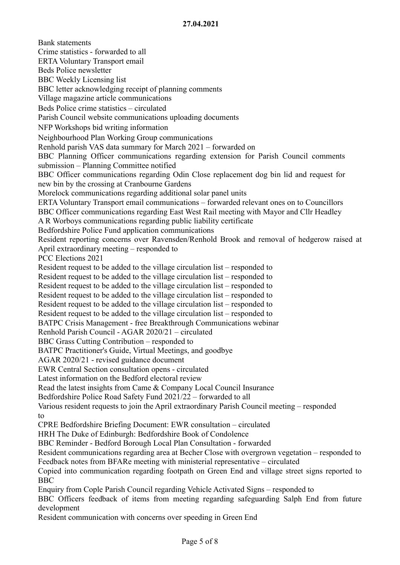Bank statements Crime statistics - forwarded to all ERTA Voluntary Transport email Beds Police newsletter BBC Weekly Licensing list BBC letter acknowledging receipt of planning comments Village magazine article communications Beds Police crime statistics – circulated Parish Council website communications uploading documents NFP Workshops bid writing information Neighbourhood Plan Working Group communications Renhold parish VAS data summary for March 2021 – forwarded on BBC Planning Officer communications regarding extension for Parish Council comments submission – Planning Committee notified BBC Officer communications regarding Odin Close replacement dog bin lid and request for new bin by the crossing at Cranbourne Gardens Morelock communications regarding additional solar panel units ERTA Voluntary Transport email communications – forwarded relevant ones on to Councillors BBC Officer communications regarding East West Rail meeting with Mayor and Cllr Headley A R Worboys communications regarding public liability certificate Bedfordshire Police Fund application communications Resident reporting concerns over Ravensden/Renhold Brook and removal of hedgerow raised at April extraordinary meeting – responded to PCC Elections 2021 Resident request to be added to the village circulation list – responded to Resident request to be added to the village circulation list – responded to Resident request to be added to the village circulation list – responded to Resident request to be added to the village circulation list – responded to Resident request to be added to the village circulation list – responded to Resident request to be added to the village circulation list – responded to BATPC Crisis Management - free Breakthrough Communications webinar Renhold Parish Council - AGAR 2020/21 – circulated BBC Grass Cutting Contribution – responded to BATPC Practitioner's Guide, Virtual Meetings, and goodbye AGAR 2020/21 - revised guidance document EWR Central Section consultation opens - circulated Latest information on the Bedford electoral review Read the latest insights from Came & Company Local Council Insurance Bedfordshire Police Road Safety Fund 2021/22 – forwarded to all Various resident requests to join the April extraordinary Parish Council meeting – responded to CPRE Bedfordshire Briefing Document: EWR consultation – circulated HRH The Duke of Edinburgh: Bedfordshire Book of Condolence BBC Reminder - Bedford Borough Local Plan Consultation - forwarded Resident communications regarding area at Becher Close with overgrown vegetation – responded to Feedback notes from BFARe meeting with ministerial representative – circulated Copied into communication regarding footpath on Green End and village street signs reported to BBC Enquiry from Cople Parish Council regarding Vehicle Activated Signs – responded to BBC Officers feedback of items from meeting regarding safeguarding Salph End from future development

Resident communication with concerns over speeding in Green End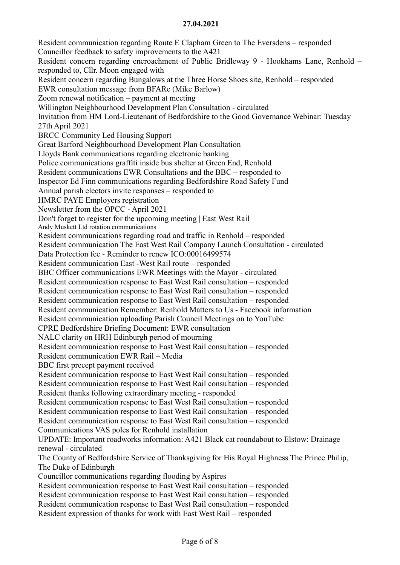Resident communication regarding Route E Clapham Green to The Eversdens – responded Councillor feedback to safety improvements to the A421 Resident concern regarding encroachment of Public Bridleway 9 - Hookhams Lane, Renhold – responded to, Cllr. Moon engaged with Resident concern regarding Bungalows at the Three Horse Shoes site, Renhold – responded EWR consultation message from BFARe (Mike Barlow) Zoom renewal notification – payment at meeting Willington Neighbourhood Development Plan Consultation - circulated Invitation from HM Lord-Lieutenant of Bedfordshire to the Good Governance Webinar: Tuesday 27th April 2021 BRCC Community Led Housing Support Great Barford Neighbourhood Development Plan Consultation Lloyds Bank communications regarding electronic banking Police communications graffiti inside bus shelter at Green End, Renhold Resident communications EWR Consultations and the BBC – responded to Inspector Ed Finn communications regarding Bedfordshire Road Safety Fund Annual parish electors invite responses – responded to HMRC PAYE Employers registration Newsletter from the OPCC - April 2021 Don't forget to register for the upcoming meeting | East West Rail Andy Muskett Ltd rotation communications Resident communications regarding road and traffic in Renhold – responded Resident communication The East West Rail Company Launch Consultation - circulated Data Protection fee - Reminder to renew ICO:00016499574 Resident communication East -West Rail route – responded BBC Officer communications EWR Meetings with the Mayor - circulated Resident communication response to East West Rail consultation – responded Resident communication response to East West Rail consultation – responded Resident communication response to East West Rail consultation – responded Resident communication Remember: Renhold Matters to Us - Facebook information Resident communication uploading Parish Council Meetings on to YouTube CPRE Bedfordshire Briefing Document: EWR consultation NALC clarity on HRH Edinburgh period of mourning Resident communication response to East West Rail consultation – responded Resident communication EWR Rail – Media BBC first precept payment received Resident communication response to East West Rail consultation – responded Resident communication response to East West Rail consultation – responded Resident thanks following extraordinary meeting - responded Resident communication response to East West Rail consultation – responded Resident communication response to East West Rail consultation – responded Resident communication response to East West Rail consultation – responded Communications VAS poles for Renhold installation UPDATE: Important roadworks information: A421 Black cat roundabout to Elstow: Drainage renewal - circulated The County of Bedfordshire Service of Thanksgiving for His Royal Highness The Prince Philip, The Duke of Edinburgh Councillor communications regarding flooding by Aspires Resident communication response to East West Rail consultation – responded Resident communication response to East West Rail consultation – responded Resident communication response to East West Rail consultation – responded Resident expression of thanks for work with East West Rail – responded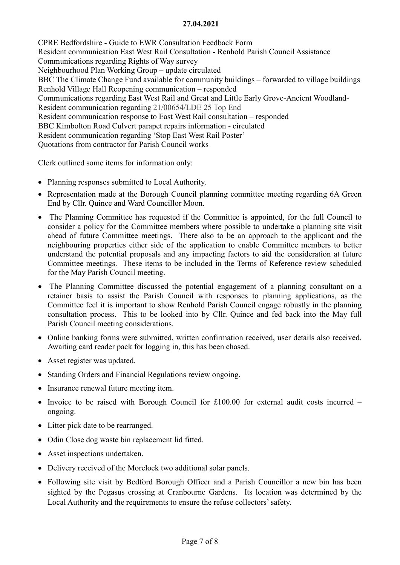CPRE Bedfordshire - Guide to EWR Consultation Feedback Form Resident communication East West Rail Consultation - Renhold Parish Council Assistance Communications regarding Rights of Way survey Neighbourhood Plan Working Group – update circulated BBC The Climate Change Fund available for community buildings – forwarded to village buildings Renhold Village Hall Reopening communication – responded Communications regarding East West Rail and Great and Little Early Grove-Ancient Woodland-Resident communication regarding 21/00654/LDE 25 Top End Resident communication response to East West Rail consultation – responded BBC Kimbolton Road Culvert parapet repairs information - circulated Resident communication regarding 'Stop East West Rail Poster' Quotations from contractor for Parish Council works

Clerk outlined some items for information only:

- Planning responses submitted to Local Authority.
- Representation made at the Borough Council planning committee meeting regarding 6A Green End by Cllr. Quince and Ward Councillor Moon.
- The Planning Committee has requested if the Committee is appointed, for the full Council to consider a policy for the Committee members where possible to undertake a planning site visit ahead of future Committee meetings. There also to be an approach to the applicant and the neighbouring properties either side of the application to enable Committee members to better understand the potential proposals and any impacting factors to aid the consideration at future Committee meetings. These items to be included in the Terms of Reference review scheduled for the May Parish Council meeting.
- The Planning Committee discussed the potential engagement of a planning consultant on a retainer basis to assist the Parish Council with responses to planning applications, as the Committee feel it is important to show Renhold Parish Council engage robustly in the planning consultation process. This to be looked into by Cllr. Quince and fed back into the May full Parish Council meeting considerations.
- Online banking forms were submitted, written confirmation received, user details also received. Awaiting card reader pack for logging in, this has been chased.
- Asset register was updated.
- Standing Orders and Financial Regulations review ongoing.
- Insurance renewal future meeting item.
- Invoice to be raised with Borough Council for  $£100.00$  for external audit costs incurred ongoing.
- Litter pick date to be rearranged.
- Odin Close dog waste bin replacement lid fitted.
- Asset inspections undertaken.
- Delivery received of the Morelock two additional solar panels.
- Following site visit by Bedford Borough Officer and a Parish Councillor a new bin has been sighted by the Pegasus crossing at Cranbourne Gardens. Its location was determined by the Local Authority and the requirements to ensure the refuse collectors' safety.